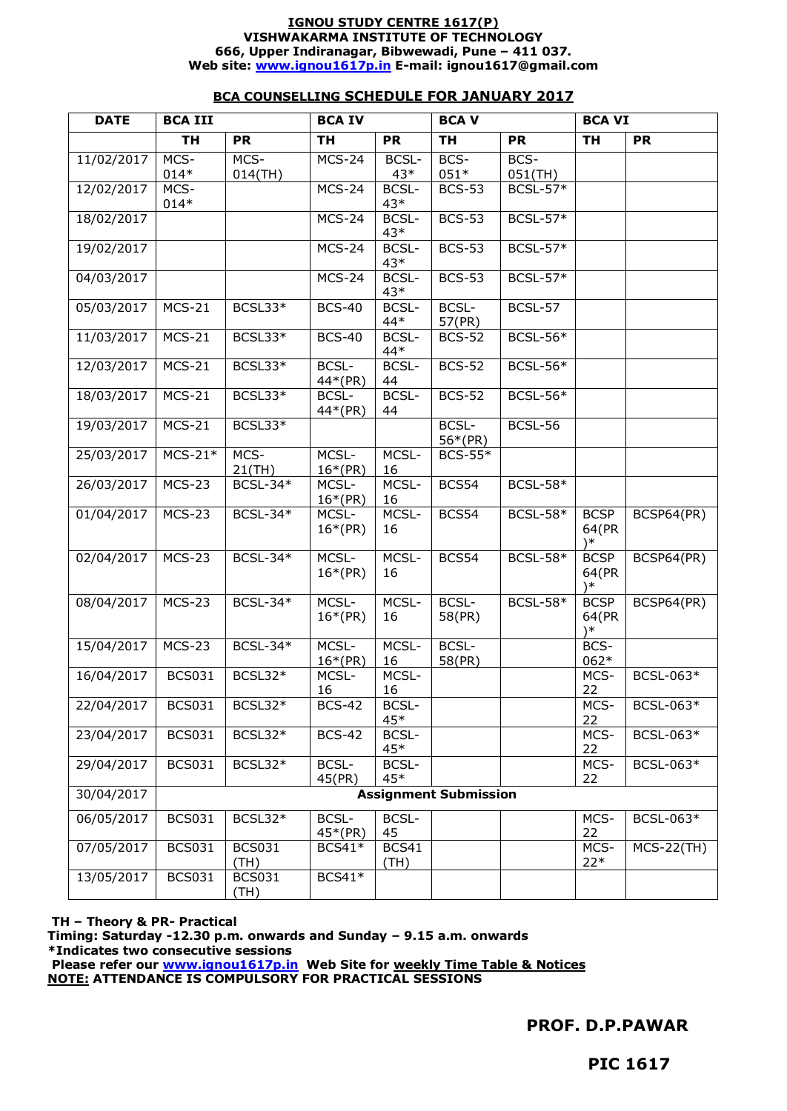#### **IGNOU STUDY CENTRE 1617(P) VISHWAKARMA INSTITUTE OF TECHNOLOGY 666, Upper Indiranagar, Bibwewadi, Pune – 411 037. Web site: [www.ignou1617p.in](http://www.ignou1617p.in/) E-mail: ignou1617@gmail.com**

### **BCA COUNSELLING SCHEDULE FOR JANUARY 2017**

| <b>DATE</b> | <b>BCA III</b>               |                       | <b>BCA IV</b>             |                       | <b>BCAV</b>            |                 | <b>BCA VI</b>                         |               |
|-------------|------------------------------|-----------------------|---------------------------|-----------------------|------------------------|-----------------|---------------------------------------|---------------|
|             | <b>TH</b>                    | <b>PR</b>             | <b>TH</b>                 | <b>PR</b>             | <b>TH</b>              | <b>PR</b>       | <b>TH</b>                             | <b>PR</b>     |
| 11/02/2017  | MCS-<br>$014*$               | MCS-<br>$014$ (TH)    | $MCS-24$                  | <b>BCSL-</b><br>$43*$ | BCS-<br>$051*$         | BCS-<br>051(TH) |                                       |               |
| 12/02/2017  | MCS-<br>$014*$               |                       | $MCS-24$                  | <b>BCSL-</b><br>43*   | <b>BCS-53</b>          | <b>BCSL-57*</b> |                                       |               |
| 18/02/2017  |                              |                       | $MCS-24$                  | <b>BCSL-</b><br>43*   | <b>BCS-53</b>          | <b>BCSL-57*</b> |                                       |               |
| 19/02/2017  |                              |                       | $MCS-24$                  | <b>BCSL-</b><br>43*   | <b>BCS-53</b>          | <b>BCSL-57*</b> |                                       |               |
| 04/03/2017  |                              |                       | $MCS-24$                  | <b>BCSL-</b><br>43*   | <b>BCS-53</b>          | <b>BCSL-57*</b> |                                       |               |
| 05/03/2017  | $MCS-21$                     | BCSL33*               | <b>BCS-40</b>             | <b>BCSL-</b><br>44*   | <b>BCSL-</b><br>57(PR) | BCSL-57         |                                       |               |
| 11/03/2017  | $MCS-21$                     | BCSL33*               | <b>BCS-40</b>             | <b>BCSL-</b><br>44*   | <b>BCS-52</b>          | <b>BCSL-56*</b> |                                       |               |
| 12/03/2017  | $MCS-21$                     | BCSL33*               | <b>BCSL-</b><br>44*(PR)   | BCSL-<br>44           | <b>BCS-52</b>          | <b>BCSL-56*</b> |                                       |               |
| 18/03/2017  | $MCS-21$                     | BCSL33*               | <b>BCSL-</b><br>$44*(PR)$ | BCSL-<br>44           | <b>BCS-52</b>          | <b>BCSL-56*</b> |                                       |               |
| 19/03/2017  | $MCS-21$                     | BCSL33*               |                           |                       | BCSL-<br>$56*(PR)$     | <b>BCSL-56</b>  |                                       |               |
| 25/03/2017  | $MCS-21*$                    | MCS-<br>21(TH)        | MCSL-<br>$16*(PR)$        | MCSL-<br>16           | <b>BCS-55*</b>         |                 |                                       |               |
| 26/03/2017  | <b>MCS-23</b>                | <b>BCSL-34*</b>       | MCSL-<br>$16*(PR)$        | MCSL-<br>16           | BCS54                  | <b>BCSL-58*</b> |                                       |               |
| 01/04/2017  | $MCS-23$                     | <b>BCSL-34*</b>       | MCSL-<br>$16*(PR)$        | MCSL-<br>16           | BCS54                  | <b>BCSL-58*</b> | <b>BCSP</b><br>64(PR<br>\*            | BCSP64(PR)    |
| 02/04/2017  | $MCS-23$                     | <b>BCSL-34*</b>       | MCSL-<br>$16*(PR)$        | MCSL-<br>16           | BCS54                  | <b>BCSL-58*</b> | <b>BCSP</b><br>64(PR<br>$\rightarrow$ | BCSP64(PR)    |
| 08/04/2017  | <b>MCS-23</b>                | <b>BCSL-34*</b>       | MCSL-<br>$16*(PR)$        | MCSL-<br>16           | BCSL-<br>58(PR)        | <b>BCSL-58*</b> | <b>BCSP</b><br>64(PR<br>$)$ *         | BCSP64(PR)    |
| 15/04/2017  | $MCS-23$                     | <b>BCSL-34*</b>       | MCSL-<br>$16*(PR)$        | MCSL-<br>16           | <b>BCSL-</b><br>58(PR) |                 | BCS-<br>062*                          |               |
| 16/04/2017  | <b>BCS031</b>                | BCSL32*               | MCSL-<br>16               | MCSL-<br>16           |                        |                 | MCS-<br>22                            | BCSL-063*     |
| 22/04/2017  | <b>BCS031</b>                | BCSL32*               | <b>BCS-42</b>             | <b>BCSL-</b><br>45*   |                        |                 | MCS-<br>22                            | BCSL-063*     |
| 23/04/2017  | <b>BCS031</b>                | BCSL32*               | <b>BCS-42</b>             | <b>BCSL-</b><br>45*   |                        |                 | MCS-<br>22                            | BCSL-063*     |
| 29/04/2017  | <b>BCS031</b>                | BCSL32*               | <b>BCSL-</b><br>45(PR)    | <b>BCSL-</b><br>45*   |                        |                 | MCS-<br>22                            | BCSL-063*     |
| 30/04/2017  | <b>Assignment Submission</b> |                       |                           |                       |                        |                 |                                       |               |
| 06/05/2017  | <b>BCS031</b>                | BCSL32*               | <b>BCSL-</b><br>$45*(PR)$ | <b>BCSL-</b><br>45    |                        |                 | MCS-<br>22                            | BCSL-063*     |
| 07/05/2017  | <b>BCS031</b>                | <b>BCS031</b><br>(TH) | BCS41*                    | BCS41<br>(TH)         |                        |                 | MCS-<br>$22*$                         | $MCS-22$ (TH) |
| 13/05/2017  | <b>BCS031</b>                | <b>BCS031</b><br>(TH) | <b>BCS41*</b>             |                       |                        |                 |                                       |               |

**TH – Theory & PR- Practical** 

**Timing: Saturday -12.30 p.m. onwards and Sunday – 9.15 a.m. onwards \*Indicates two consecutive sessions**

**Please refer our [www.ignou1617p.in](http://www.ignou1617p.in/) Web Site for weekly Time Table & Notices NOTE: ATTENDANCE IS COMPULSORY FOR PRACTICAL SESSIONS**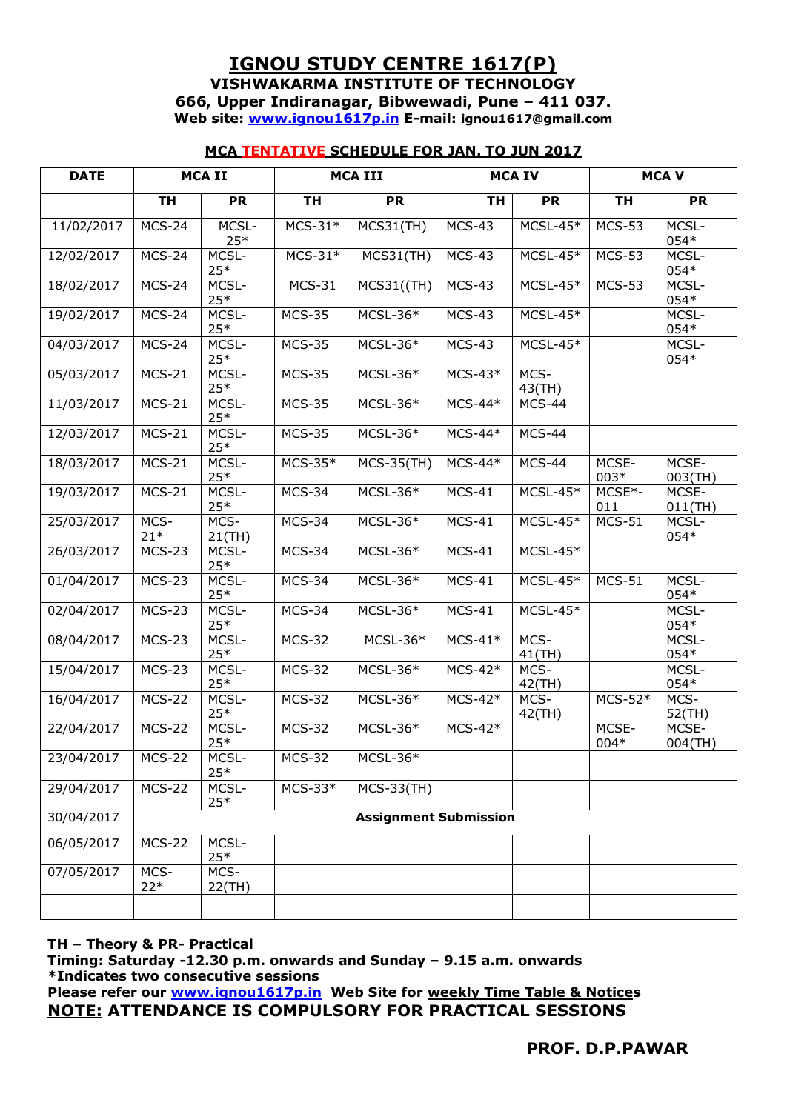# **IGNOU STUDY CENTRE 1617(P) VISHWAKARMA INSTITUTE OF TECHNOLOGY 666, Upper Indiranagar, Bibwewadi, Pune – 411 037. Web site: [www.ignou1617p.in](http://www.ignou1617p.in/) E-mail: ignou1617@gmail.com**

### **MCA TENTATIVE SCHEDULE FOR JAN. TO JUN 2017**

| <b>DATE</b> |                     | <b>MCAII</b><br><b>MCA III</b> |               | <b>MCAIV</b>                    |                 | <b>MCAV</b>       |                            |                     |
|-------------|---------------------|--------------------------------|---------------|---------------------------------|-----------------|-------------------|----------------------------|---------------------|
|             | <b>TH</b>           | <b>PR</b>                      | <b>TH</b>     | <b>PR</b>                       | $\overline{T}H$ | <b>PR</b>         | <b>TH</b>                  | <b>PR</b>           |
| 11/02/2017  | $MCS-24$            | MCSL-<br>$25*$                 | $MCS-31*$     | $MCS31$ (TH)                    | $MCS-43$        | $MCSL-45*$        | <b>MCS-53</b>              | MCSL-<br>$054*$     |
| 12/02/2017  | $MCS-24$            | MCSL-<br>$25*$                 | $MCS-31*$     | MCS31(TH)                       | $MCS-43$        | $MCSL-45*$        | <b>MCS-53</b>              | MCSL-<br>054*       |
| 18/02/2017  | <b>MCS-24</b>       | MCSL-<br>$25*$                 | $MCS-31$      | $\overline{\text{MCS31}}$ ((TH) | $MCS-43$        | $MCSL-45*$        | <b>MCS-53</b>              | MCSL-<br>$054*$     |
| 19/02/2017  | $MCS-24$            | MCSL-<br>$25*$                 | <b>MCS-35</b> | MCSL-36*                        | $MCS-43$        | $MCSL-45*$        |                            | MCSL-<br>054*       |
| 04/03/2017  | $MCS-24$            | MCSL-<br>$25*$                 | <b>MCS-35</b> | MCSL-36*                        | $MCS-43$        | $MCSL-45*$        |                            | MCSL-<br>$054*$     |
| 05/03/2017  | $MCS-21$            | MCSL-<br>$25*$                 | <b>MCS-35</b> | $MCSL-36*$                      | $MCS-43*$       | MCS-<br>43(TH)    |                            |                     |
| 11/03/2017  | $\overline{MCS-21}$ | MCSL-<br>$25*$                 | <b>MCS-35</b> | $MCSL-36*$                      | $MCS-44*$       | MCS-44            |                            |                     |
| 12/03/2017  | $MCS-21$            | MCSL-<br>$25*$                 | $MCS-35$      | $MCSL-36*$                      | $MCS-44*$       | MCS-44            |                            |                     |
| 18/03/2017  | $MCS-21$            | MCSL-<br>$25*$                 | $MCS-35*$     | $MCS-35$ (TH)                   | $MCS-44*$       | $MCS-44$          | MCSE-<br>003*              | MCSE-<br>$003$ (TH) |
| 19/03/2017  | $MCS-21$            | MCSL-<br>$25*$                 | $MCS-34$      | $MCSL-36*$                      | $MCS-41$        | $MCSL-45*$        | MCSE <sup>*</sup> -<br>011 | MCSE-<br>$011$ (TH) |
| 25/03/2017  | MCS-<br>$21*$       | MCS-<br>21(TH)                 | MCS-34        | $MCSL-36*$                      | $MCS-41$        | $MCSL-45*$        | <b>MCS-51</b>              | MCSL-<br>054*       |
| 26/03/2017  | <b>MCS-23</b>       | MCSL-<br>$25*$                 | MCS-34        | $MCSL-36*$                      | $MCS-41$        | $MCSL-45*$        |                            |                     |
| 01/04/2017  | $MCS-23$            | MCSL-<br>$25*$                 | MCS-34        | $MCSL-36*$                      | $MCS-41$        | $MCSL-45*$        | $MCS-51$                   | MCSL-<br>054*       |
| 02/04/2017  | $MCS-23$            | MCSL-<br>$25*$                 | MCS-34        | $MCSL-36*$                      | $MCS-41$        | $MCSL-45*$        |                            | MCSL-<br>$054*$     |
| 08/04/2017  | $MCS-23$            | MCSL-<br>$25*$                 | $MCS-32$      | $MCSL-36*$                      | $MCS-41*$       | MCS-<br>$41$ (TH) |                            | MCSL-<br>054*       |
| 15/04/2017  | <b>MCS-23</b>       | MCSL-<br>$25*$                 | <b>MCS-32</b> | MCSL-36*                        | $MCS-42*$       | MCS-<br>$42$ (TH) |                            | MCSL-<br>054*       |
| 16/04/2017  | <b>MCS-22</b>       | MCSL-<br>$25*$                 | <b>MCS-32</b> | $MCSL-36*$                      | $MCS-42*$       | MCS-<br>42(TH)    | $MCS-52*$                  | MCS-<br>52(TH)      |
| 22/04/2017  | <b>MCS-22</b>       | MCSL-<br>$25*$                 | <b>MCS-32</b> | $MCSL-36*$                      | $MCS-42*$       |                   | MCSE-<br>004*              | MCSE-<br>004(TH)    |
| 23/04/2017  | <b>MCS-22</b>       | MCSL-<br>$25*$                 | $MCS-32$      | $MCSL-36*$                      |                 |                   |                            |                     |
| 29/04/2017  | <b>MCS-22</b>       | MCSL-<br>$25*$                 | $MCS-33*$     | <b>MCS-33(TH)</b>               |                 |                   |                            |                     |
| 30/04/2017  |                     |                                |               | <b>Assignment Submission</b>    |                 |                   |                            |                     |
| 06/05/2017  | $MCS-22$            | MCSL-<br>$25*$                 |               |                                 |                 |                   |                            |                     |
| 07/05/2017  | MCS-<br>$22*$       | MCS-<br>22(TH)                 |               |                                 |                 |                   |                            |                     |
|             |                     |                                |               |                                 |                 |                   |                            |                     |

#### **TH – Theory & PR- Practical**

**Timing: Saturday -12.30 p.m. onwards and Sunday – 9.15 a.m. onwards \*Indicates two consecutive sessions**

**Please refer our [www.ignou1617p.in](http://www.ignou1617p.in/) Web Site for weekly Time Table & Notices NOTE: ATTENDANCE IS COMPULSORY FOR PRACTICAL SESSIONS**